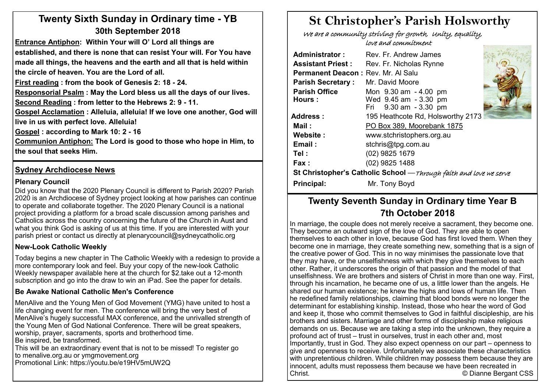# **Twenty Sixth Sunday in Ordinary time - YB 30th September 2018**

**Entrance Antiphon: Within Your will O' Lord all things are established, and there is none that can resist Your will. For You have made all things, the heavens and the earth and all that is held within the circle of heaven. You are the Lord of all.**

**First reading : from the book of Genesis 2: 18 - 24.** 

**Responsorial Psalm : May the Lord bless us all the days of our lives.**

**Second Reading : from letter to the Hebrews 2: 9 - 11.** 

**Gospel Acclamation : Alleluia, alleluia! If we love one another, God will live in us with perfect love. Alleluia!**

**Gospel : according to Mark 10: 2 - 16**

**Communion Antiphon: The Lord is good to those who hope in Him, to the soul that seeks Him.** 

#### **Sydney Archdiocese News**

#### **Plenary Council**

Did you know that the 2020 Plenary Council is different to Parish 2020? Parish 2020 is an Archdiocese of Sydney project looking at how parishes can continue to operate and collaborate together. The 2020 Plenary Council is a national project providing a platform for a broad scale discussion among parishes and Catholics across the country concerning the future of the Church in Aust and what you think God is asking of us at this time. If you are interested with your parish priest or contact us directly at plenarycouncil@sydneycatholic.org

#### **New-Look Catholic Weekly**

Today begins a new chapter in The Catholic Weekly with a redesign to provide a more contemporary look and feel. Buy your copy of the new-look Catholic Weekly newspaper available here at the church for \$2.take out a 12-month subscription and go into the draw to win an iPad. See the paper for details.

#### **Be Awake National Catholic Men's Conference**

MenAlive and the Young Men of God Movement (YMG) have united to host a life changing event for men. The conference will bring the very best of MenAlive's hugely successful MAX conference, and the unrivalled strength of the Young Men of God National Conference. There will be great speakers, worship, prayer, sacraments, sports and brotherhood time. Be inspired, be transformed.

This will be an extraordinary event that is not to be missed! To register go to menalive.org.au or ymgmovement.org Promotional Link: https://youtu.be/e19HV5mUW2Q

# **St Christopher's Parish Holsworthy**

 We are a community striving for growth, Unity, equality, love and commitment

| Rev. Fr. Andrew James                                              |                                                                                      |  |  |  |  |  |  |  |  |
|--------------------------------------------------------------------|--------------------------------------------------------------------------------------|--|--|--|--|--|--|--|--|
| Rev. Fr. Nicholas Rynne                                            |                                                                                      |  |  |  |  |  |  |  |  |
|                                                                    |                                                                                      |  |  |  |  |  |  |  |  |
| Mr. David Moore                                                    |                                                                                      |  |  |  |  |  |  |  |  |
| Mon 9.30 am - 4.00 pm                                              |                                                                                      |  |  |  |  |  |  |  |  |
|                                                                    |                                                                                      |  |  |  |  |  |  |  |  |
|                                                                    |                                                                                      |  |  |  |  |  |  |  |  |
| 195 Heathcote Rd, Holsworthy 2173                                  |                                                                                      |  |  |  |  |  |  |  |  |
| PO Box 389, Moorebank 1875                                         |                                                                                      |  |  |  |  |  |  |  |  |
| www.stchristophers.org.au                                          |                                                                                      |  |  |  |  |  |  |  |  |
| stchris@tpg.com.au                                                 |                                                                                      |  |  |  |  |  |  |  |  |
| (02) 9825 1679                                                     |                                                                                      |  |  |  |  |  |  |  |  |
| (02) 9825 1488                                                     |                                                                                      |  |  |  |  |  |  |  |  |
| St Christopher's Catholic School — Through faith and love we serve |                                                                                      |  |  |  |  |  |  |  |  |
| Mr. Tony Boyd                                                      |                                                                                      |  |  |  |  |  |  |  |  |
|                                                                    | Permanent Deacon: Rev. Mr. Al Salu<br>Wed 9.45 am - 3.30 pm<br>Fri 9.30 am - 3.30 pm |  |  |  |  |  |  |  |  |

# **Twenty Seventh Sunday in Ordinary time Year B 7th October 2018**

In marriage, the couple does not merely receive a sacrament, they become one. They become an outward sign of the love of God. They are able to open themselves to each other in love, because God has first loved them. When they become one in marriage, they create something new, something that is a sign of If the creative power of God. This in no way minimises the passionate love that I they may have, or the unselfishness with which they give themselves to each other. Rather, it underscores the origin of that passion and the model of that unselfishness. We are brothers and sisters of Christ in more than one way. First, through his incarnation, he became one of us, a little lower than the angels. He shared our human existence; he knew the highs and lows of human life. Then he redefined family relationships, claiming that blood bonds were no longer the determinant for establishing kinship. Instead, those who hear the word of God and keep it, those who commit themselves to God in faithful discipleship, are his brothers and sisters. Marriage and other forms of discipleship make religious demands on us. Because we are taking a step into the unknown, they require a profound act of trust – trust in ourselves, trust in each other and, most Importantly, trust in God. They also expect openness on our part – openness to give and openness to receive. Unfortunately we associate these characteristics with unpretentious children. While children may possess them because they are innocent, adults must repossess them because we have been recreated in Christ. © Dianne Bergant CSS